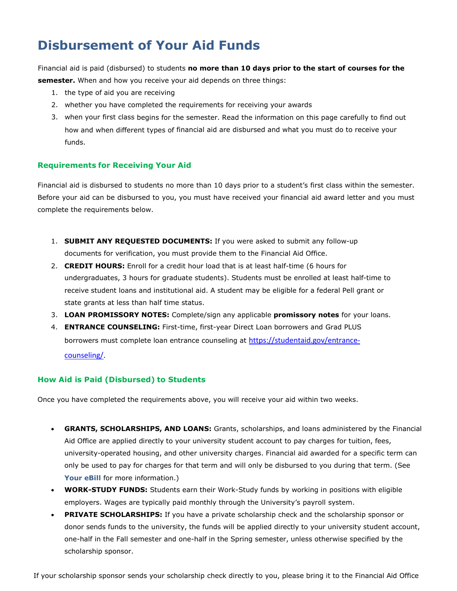# **Disbursement of Your Aid Funds**

Financial aid is paid (disbursed) to students **no more than 10 days prior to the start of courses for the semester.** When and how you receive your aid depends on three things:

- 1. the type of aid you are receiving
- 2. whether you have completed the requirements for receiving your awards
- 3. when your first class begins for the semester. Read the information on this page carefully to find out how and when different types of financial aid are disbursed and what you must do to receive your funds.

#### **Requirements for Receiving Your Aid**

Financial aid is disbursed to students no more than 10 days prior to a student's first class within the semester. Before your aid can be disbursed to you, you must have received your financial aid award letter and you must complete the requirements below.

- 1. **SUBMIT ANY REQUESTED DOCUMENTS:** If you were asked to submit any follow-up documents for verification, you must provide them to the Financial Aid Office.
- 2. **CREDIT HOURS:** Enroll for a credit hour load that is at least half-time (6 hours for undergraduates, 3 hours for graduate students). Students must be enrolled at least half-time to receive student loans and institutional aid. A student may be eligible for a federal Pell grant or state grants at less than half time status.
- 3. **LOAN PROMISSORY NOTES:** Complete/sign any applicable **promissory notes** for your loans.
- 4. **ENTRANCE COUNSELING:** First-time, first-year Direct Loan borrowers and Grad PLUS borrowers must complete loan entrance counseling at [https://studentaid.gov/entrance](https://studentaid.gov/entrance-counseling/)[counseling/.](https://studentaid.gov/entrance-counseling/)

### **How Aid is Paid (Disbursed) to Students**

Once you have completed the requirements above, you will receive your aid within two weeks.

- **GRANTS, SCHOLARSHIPS, AND LOANS:** Grants, scholarships, and loans administered by the Financial Aid Office are applied directly to your university student account to pay charges for tuition, fees, university-operated housing, and other university charges. Financial aid awarded for a specific term can only be used to pay for charges for that term and will only be disbursed to you during that term. (See [Your eBill](http://www.finaid.umich.edu/Home/ReceivingYourAid/YourStudentAccountandeBill.aspx) for more information.)
- **WORK-STUDY FUNDS:** Students earn their Work-Study funds by working in positions with eligible employers. Wages are typically paid monthly through the University's payroll system.
- **PRIVATE SCHOLARSHIPS:** If you have a private scholarship check and the scholarship sponsor or donor sends funds to the university, the funds will be applied directly to your university student account, one-half in the Fall semester and one-half in the Spring semester, unless otherwise specified by the scholarship sponsor.

If your scholarship sponsor sends your scholarship check directly to you, please bring it to the Financial Aid Office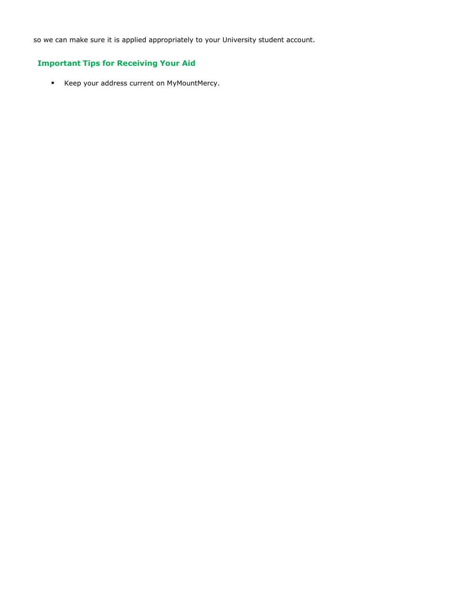so we can make sure it is applied appropriately to your University student account.

## **Important Tips for Receiving Your Aid**

■ Keep your address current on MyMountMercy.